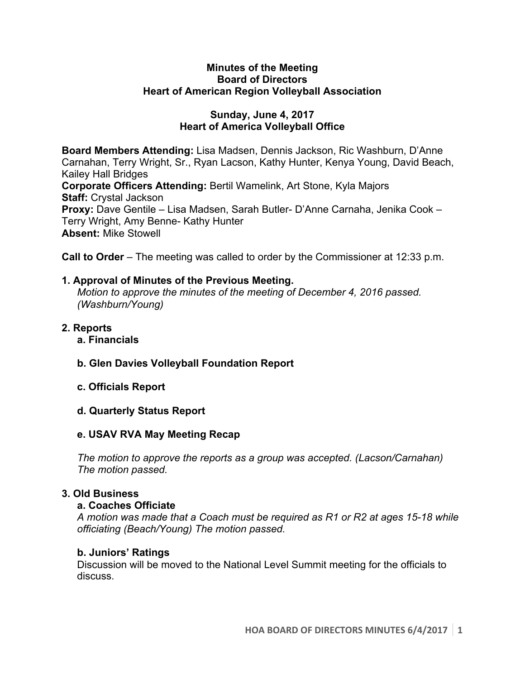### **Minutes of the Meeting Board of Directors Heart of American Region Volleyball Association**

### **Sunday, June 4, 2017 Heart of America Volleyball Office**

**Board Members Attending:** Lisa Madsen, Dennis Jackson, Ric Washburn, D'Anne Carnahan, Terry Wright, Sr., Ryan Lacson, Kathy Hunter, Kenya Young, David Beach, Kailey Hall Bridges **Corporate Officers Attending:** Bertil Wamelink, Art Stone, Kyla Majors **Staff:** Crystal Jackson **Proxy:** Dave Gentile – Lisa Madsen, Sarah Butler- D'Anne Carnaha, Jenika Cook – Terry Wright, Amy Benne- Kathy Hunter **Absent:** Mike Stowell

**Call to Order** – The meeting was called to order by the Commissioner at 12:33 p.m.

## **1. Approval of Minutes of the Previous Meeting.**

*Motion to approve the minutes of the meeting of December 4, 2016 passed. (Washburn/Young)* 

- **2. Reports**
	- **a. Financials**
	- **b. Glen Davies Volleyball Foundation Report**
	- **c. Officials Report**
	- **d. Quarterly Status Report**

### **e. USAV RVA May Meeting Recap**

*The motion to approve the reports as a group was accepted. (Lacson/Carnahan) The motion passed.*

### **3. Old Business**

### **a. Coaches Officiate**

*A motion was made that a Coach must be required as R1 or R2 at ages 15-18 while officiating (Beach/Young) The motion passed.* 

### **b. Juniors' Ratings**

Discussion will be moved to the National Level Summit meeting for the officials to discuss.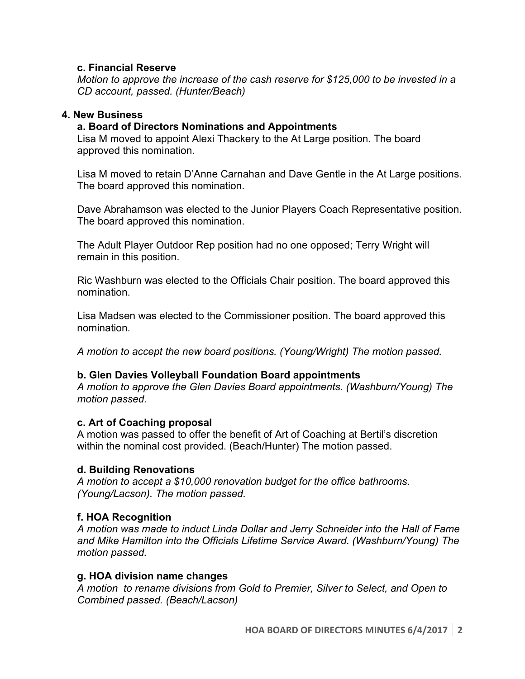### **c. Financial Reserve**

*Motion to approve the increase of the cash reserve for \$125,000 to be invested in a CD account, passed. (Hunter/Beach)*

## **4. New Business**

# **a. Board of Directors Nominations and Appointments**

Lisa M moved to appoint Alexi Thackery to the At Large position. The board approved this nomination.

Lisa M moved to retain D'Anne Carnahan and Dave Gentle in the At Large positions. The board approved this nomination.

Dave Abrahamson was elected to the Junior Players Coach Representative position. The board approved this nomination.

The Adult Player Outdoor Rep position had no one opposed; Terry Wright will remain in this position.

Ric Washburn was elected to the Officials Chair position. The board approved this nomination.

Lisa Madsen was elected to the Commissioner position. The board approved this nomination.

*A motion to accept the new board positions. (Young/Wright) The motion passed.*

# **b. Glen Davies Volleyball Foundation Board appointments**

*A motion to approve the Glen Davies Board appointments. (Washburn/Young) The motion passed.* 

### **c. Art of Coaching proposal**

A motion was passed to offer the benefit of Art of Coaching at Bertil's discretion within the nominal cost provided. (Beach/Hunter) The motion passed.

# **d. Building Renovations**

*A motion to accept a \$10,000 renovation budget for the office bathrooms. (Young/Lacson). The motion passed.* 

# **f. HOA Recognition**

*A motion was made to induct Linda Dollar and Jerry Schneider into the Hall of Fame and Mike Hamilton into the Officials Lifetime Service Award. (Washburn/Young) The motion passed.* 

# **g. HOA division name changes**

*A motion to rename divisions from Gold to Premier, Silver to Select, and Open to Combined passed. (Beach/Lacson)*